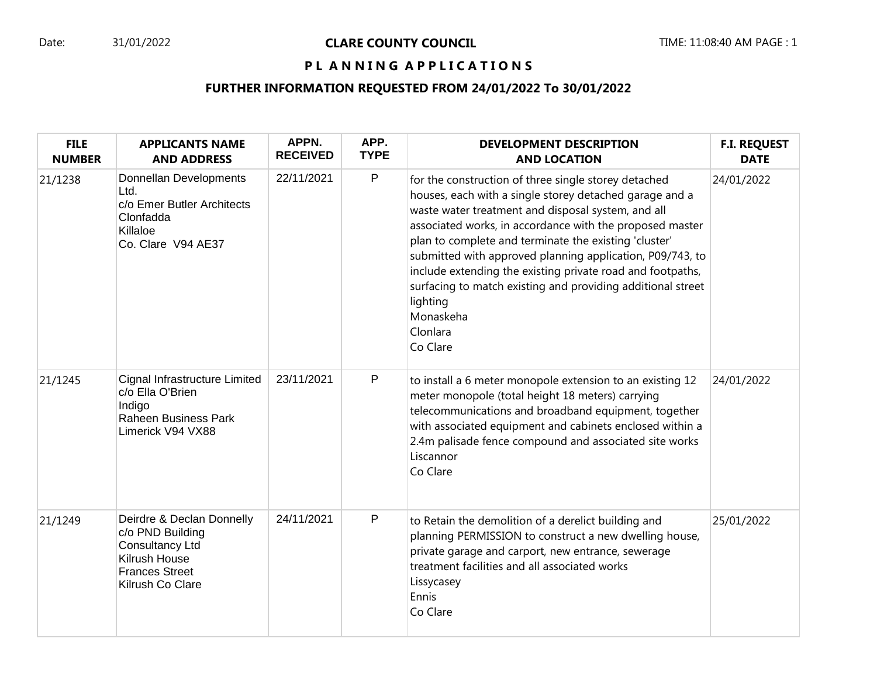# PL ANNING APPLICATIONS

# **FURTHER INFORMATION REQUESTED FROM 24/01/2022 To 30/01/2022**

| <b>FILE</b><br><b>NUMBER</b> | <b>APPLICANTS NAME</b><br><b>AND ADDRESS</b>                                                                                          | APPN.<br><b>RECEIVED</b> | APP.<br><b>TYPE</b> | <b>DEVELOPMENT DESCRIPTION</b><br><b>AND LOCATION</b>                                                                                                                                                                                                                                                                                                                                                                                                                                                                                 | <b>F.I. REQUEST</b><br><b>DATE</b> |
|------------------------------|---------------------------------------------------------------------------------------------------------------------------------------|--------------------------|---------------------|---------------------------------------------------------------------------------------------------------------------------------------------------------------------------------------------------------------------------------------------------------------------------------------------------------------------------------------------------------------------------------------------------------------------------------------------------------------------------------------------------------------------------------------|------------------------------------|
| 21/1238                      | Donnellan Developments<br>Ltd.<br>c/o Emer Butler Architects<br>Clonfadda<br>Killaloe<br>Co. Clare V94 AE37                           | 22/11/2021               | $\mathsf{P}$        | for the construction of three single storey detached<br>houses, each with a single storey detached garage and a<br>waste water treatment and disposal system, and all<br>associated works, in accordance with the proposed master<br>plan to complete and terminate the existing 'cluster'<br>submitted with approved planning application, P09/743, to<br>include extending the existing private road and footpaths,<br>surfacing to match existing and providing additional street<br>lighting<br>Monaskeha<br>Clonlara<br>Co Clare | 24/01/2022                         |
| 21/1245                      | Cignal Infrastructure Limited<br>c/o Ella O'Brien<br>Indigo<br>Raheen Business Park<br>Limerick V94 VX88                              | 23/11/2021               | $\mathsf{P}$        | to install a 6 meter monopole extension to an existing 12<br>meter monopole (total height 18 meters) carrying<br>telecommunications and broadband equipment, together<br>with associated equipment and cabinets enclosed within a<br>2.4m palisade fence compound and associated site works<br>Liscannor<br>Co Clare                                                                                                                                                                                                                  | 24/01/2022                         |
| 21/1249                      | Deirdre & Declan Donnelly<br>c/o PND Building<br><b>Consultancy Ltd</b><br>Kilrush House<br><b>Frances Street</b><br>Kilrush Co Clare | 24/11/2021               | $\mathsf{P}$        | to Retain the demolition of a derelict building and<br>planning PERMISSION to construct a new dwelling house,<br>private garage and carport, new entrance, sewerage<br>treatment facilities and all associated works<br>Lissycasey<br>Ennis<br>Co Clare                                                                                                                                                                                                                                                                               | 25/01/2022                         |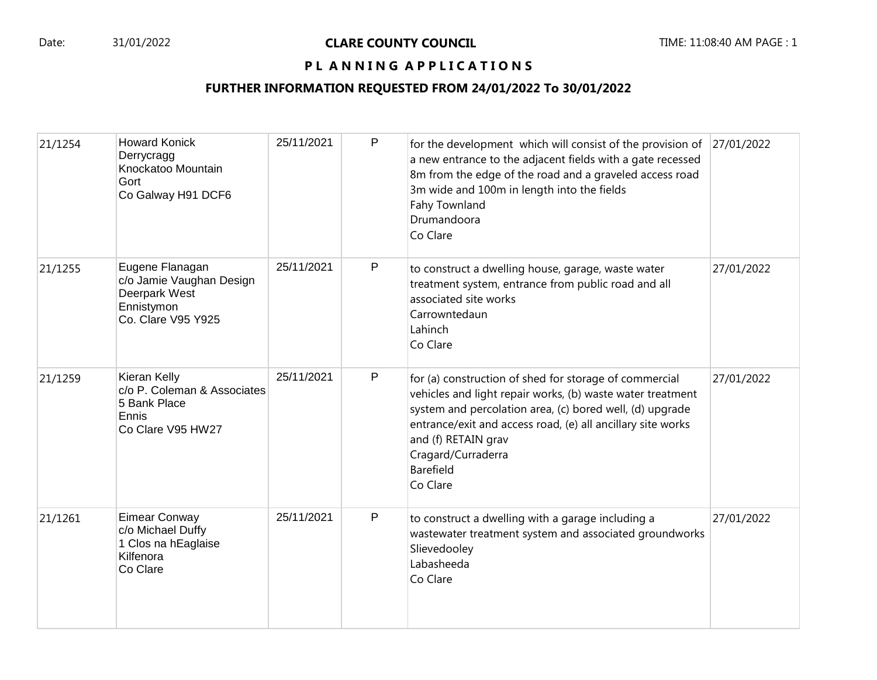### PL ANNING APPLICATIONS

# **FURTHER INFORMATION REQUESTED FROM 24/01/2022 To 30/01/2022**

| 21/1254 | <b>Howard Konick</b><br>Derrycragg<br>Knockatoo Mountain<br>Gort<br>Co Galway H91 DCF6           | 25/11/2021 | P | for the development which will consist of the provision of $ 27/01/2022 $<br>a new entrance to the adjacent fields with a gate recessed<br>8m from the edge of the road and a graveled access road<br>3m wide and 100m in length into the fields<br>Fahy Townland<br>Drumandoora<br>Co Clare                                 |            |
|---------|--------------------------------------------------------------------------------------------------|------------|---|------------------------------------------------------------------------------------------------------------------------------------------------------------------------------------------------------------------------------------------------------------------------------------------------------------------------------|------------|
| 21/1255 | Eugene Flanagan<br>c/o Jamie Vaughan Design<br>Deerpark West<br>Ennistymon<br>Co. Clare V95 Y925 | 25/11/2021 | P | to construct a dwelling house, garage, waste water<br>treatment system, entrance from public road and all<br>associated site works<br>Carrowntedaun<br>Lahinch<br>Co Clare                                                                                                                                                   | 27/01/2022 |
| 21/1259 | Kieran Kelly<br>c/o P. Coleman & Associates<br>5 Bank Place<br>Ennis<br>Co Clare V95 HW27        | 25/11/2021 | P | for (a) construction of shed for storage of commercial<br>vehicles and light repair works, (b) waste water treatment<br>system and percolation area, (c) bored well, (d) upgrade<br>entrance/exit and access road, (e) all ancillary site works<br>and (f) RETAIN grav<br>Cragard/Curraderra<br><b>Barefield</b><br>Co Clare | 27/01/2022 |
| 21/1261 | Eimear Conway<br>c/o Michael Duffy<br>1 Clos na hEaglaise<br>Kilfenora<br>Co Clare               | 25/11/2021 | P | to construct a dwelling with a garage including a<br>wastewater treatment system and associated groundworks<br>Slievedooley<br>Labasheeda<br>Co Clare                                                                                                                                                                        | 27/01/2022 |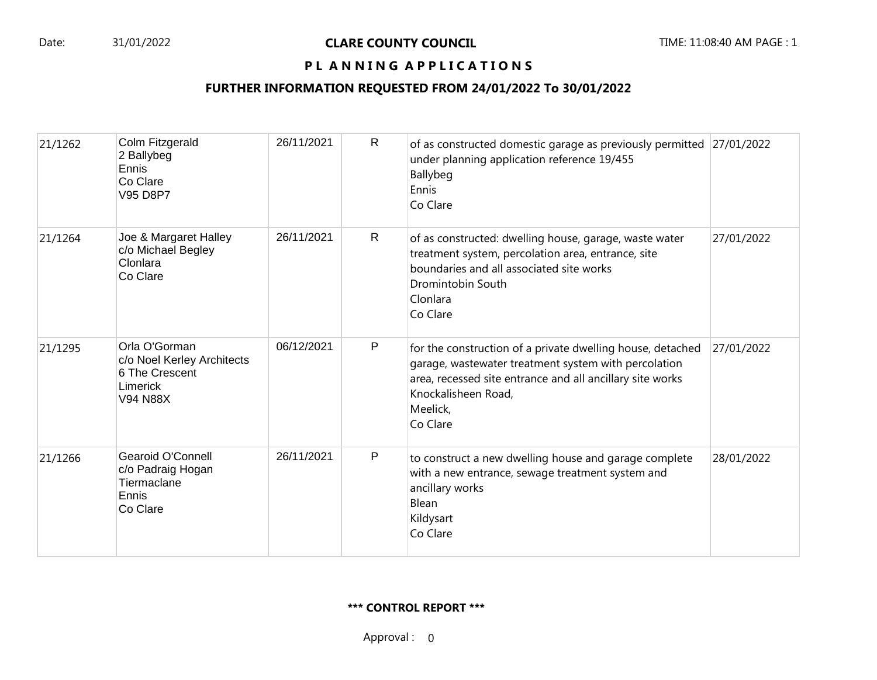### PL ANNING APPLICATIONS

# **FURTHER INFORMATION REQUESTED FROM 24/01/2022 To 30/01/2022**

| 21/1262 | Colm Fitzgerald<br>2 Ballybeg<br>Ennis<br>Co Clare<br>V95 D8P7                               | 26/11/2021 | R            | of as constructed domestic garage as previously permitted 27/01/2022<br>under planning application reference 19/455<br>Ballybeg<br>Ennis<br>Co Clare                                                                           |            |
|---------|----------------------------------------------------------------------------------------------|------------|--------------|--------------------------------------------------------------------------------------------------------------------------------------------------------------------------------------------------------------------------------|------------|
| 21/1264 | Joe & Margaret Halley<br>c/o Michael Begley<br>Clonlara<br>Co Clare                          | 26/11/2021 | R            | of as constructed: dwelling house, garage, waste water<br>treatment system, percolation area, entrance, site<br>boundaries and all associated site works<br>Dromintobin South<br>Clonlara<br>Co Clare                          | 27/01/2022 |
| 21/1295 | Orla O'Gorman<br>c/o Noel Kerley Architects<br>6 The Crescent<br>Limerick<br><b>V94 N88X</b> | 06/12/2021 | $\mathsf{P}$ | for the construction of a private dwelling house, detached<br>garage, wastewater treatment system with percolation<br>area, recessed site entrance and all ancillary site works<br>Knockalisheen Road,<br>Meelick,<br>Co Clare | 27/01/2022 |
| 21/1266 | Gearoid O'Connell<br>c/o Padraig Hogan<br>Tiermaclane<br>Ennis<br>Co Clare                   | 26/11/2021 | P            | to construct a new dwelling house and garage complete<br>with a new entrance, sewage treatment system and<br>ancillary works<br>Blean<br>Kildysart<br>Co Clare                                                                 | 28/01/2022 |

#### **\*\*\* CONTROL REPORT \*\*\***

Approval : 0